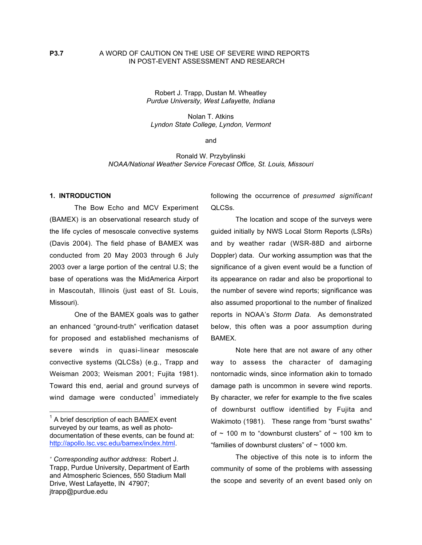Robert J. Trapp, Dustan M. Wheatley *Purdue University, West Lafayette, Indiana*

Nolan T. Atkins *Lyndon State College, Lyndon, Vermont*

and

Ronald W. Przybylinski *NOAA/National Weather Service Forecast Office, St. Louis, Missouri*

## **1. INTRODUCTION**

The Bow Echo and MCV Experiment (BAMEX) is an observational research study of the life cycles of mesoscale convective systems (Davis 2004). The field phase of BAMEX was conducted from 20 May 2003 through 6 July 2003 over a large portion of the central U.S; the base of operations was the MidAmerica Airport in Mascoutah, Illinois (just east of St. Louis, Missouri).

One of the BAMEX goals was to gather an enhanced "ground-truth" verification dataset for proposed and established mechanisms of severe winds in quasi-linear mesoscale convective systems (QLCSs) (e.g., Trapp and Weisman 2003; Weisman 2001; Fujita 1981). Toward this end, aerial and ground surveys of wind damage were conducted<sup>1</sup> immediately

following the occurrence of *presumed significant* QLCSs.

The location and scope of the surveys were guided initially by NWS Local Storm Reports (LSRs) and by weather radar (WSR-88D and airborne Doppler) data. Our working assumption was that the significance of a given event would be a function of its appearance on radar and also be proportional to the number of severe wind reports; significance was also assumed proportional to the number of finalized reports in NOAA's *Storm Data*. As demonstrated below, this often was a poor assumption during BAMEX.

Note here that are not aware of any other way to assess the character of damaging nontornadic winds, since information akin to tornado damage path is uncommon in severe wind reports. By character, we refer for example to the five scales of downburst outflow identified by Fujita and Wakimoto (1981). These range from "burst swaths" of  $\sim$  100 m to "downburst clusters" of  $\sim$  100 km to "families of downburst clusters" of  $\sim$  1000 km.

The objective of this note is to inform the community of some of the problems with assessing the scope and severity of an event based only on

1 A brief description of each BAMEX event surveyed by our teams, as well as photodocumentation of these events, can be found at: http://apollo.lsc.vsc.edu/bamex/index.html.

<sup>∗</sup>  *Corresponding author address*: Robert J. Trapp, Purdue University, Department of Earth and Atmospheric Sciences, 550 Stadium Mall Drive, West Lafayette, IN 47907; jtrapp@purdue.edu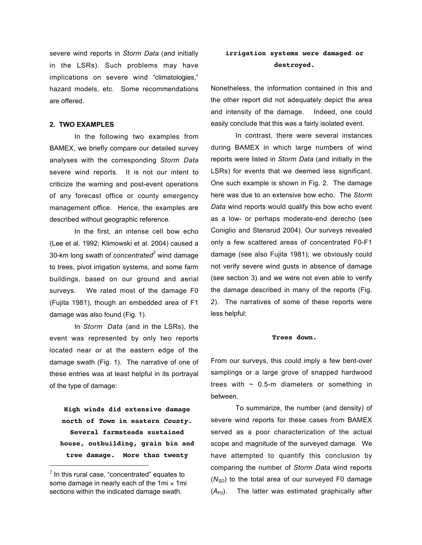severe wind reports in *Storm Data* (and initially in the LSRs). Such problems may have implications on severe wind "climatologies," hazard models, etc. Some recommendations are offered.

## **2. TWO EXAMPLES**

In the following two examples from BAMEX, we briefly compare our detailed survey analyses with the corresponding *Storm Data* severe wind reports. It is not our intent to criticize the warning and post-event operations of any forecast office or county emergency management office. Hence, the examples are described without geographic reference.

In the first, an intense cell bow echo (Lee et al. 1992; Klimowski et al. 2004) caused a 30-km long swath of *concentrated2* wind damage to trees, pivot irrigation systems, and some farm buildings, based on our ground and aerial surveys. We rated most of the damage F0 (Fujita 1981), though an embedded area of F1 damage was also found (Fig. 1).

In *Storm Data* (and in the LSRs), the event was represented by only two reports located near or at the eastern edge of the damage swath (Fig. 1). The narrative of one of these entries was at least helpful in its portrayal of the type of damage:

**High winds did extensive damage north of Town in eastern County. Several farmsteads sustained house, outbuilding, grain bin and tree damage. More than twenty**

# **irrigation systems were damaged or destroyed.**

Nonetheless, the information contained in this and the other report did not adequately depict the area and intensity of the damage. Indeed, one could easily conclude that this was a fairly isolated event.

In contrast, there were several instances during BAMEX in which large numbers of wind reports were listed in *Storm Data* (and initially in the LSRs) for events that we deemed less significant. One such example is shown in Fig. 2. The damage here was due to an extensive bow echo. The *Storm Data* wind reports would qualify this bow echo event as a low- or perhaps moderate-end derecho (see Coniglio and Stensrud 2004). Our surveys revealed only a few scattered areas of concentrated F0-F1 damage (see also Fujita 1981); we obviously could not verify severe wind gusts in absence of damage (see section 3) and we were not even able to verify the damage described in many of the reports (Fig. 2). The narratives of some of these reports were less helpful:

#### **Trees down.**

From our surveys, this could imply a few bent-over samplings or a large grove of snapped hardwood trees with  $\sim$  0.5-m diameters or something in between.

To summarize, the number (and density) of severe wind reports for these cases from BAMEX served as a poor characterization of the actual scope and magnitude of the surveyed damage. We have attempted to quantify this conclusion by comparing the number of *Storm Data* wind reports  $(N_{SD})$  to the total area of our surveyed F0 damage (*AF0*). The latter was estimated graphically after

 $2$  In this rural case, "concentrated" equates to some damage in nearly each of the 1mi  $\times$  1mi sections within the indicated damage swath.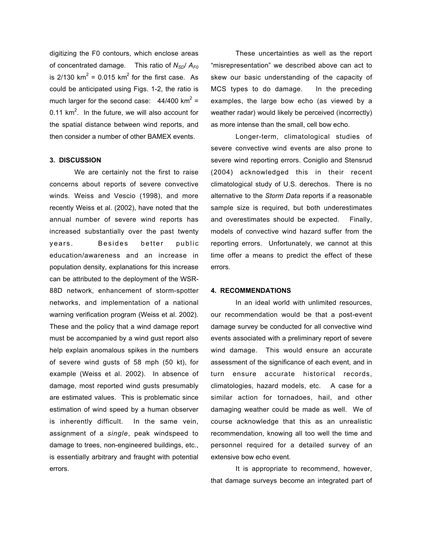digitizing the F0 contours, which enclose areas of concentrated damage. This ratio of *NSD*/ *AF0* is 2/130 km<sup>2</sup> = 0.015 km<sup>2</sup> for the first case. As could be anticipated using Figs. 1-2, the ratio is much larger for the second case:  $44/400$  km<sup>2</sup> = 0.11 km<sup>2</sup>. In the future, we will also account for the spatial distance between wind reports, and then consider a number of other BAMEX events.

## **3. DISCUSSION**

We are certainly not the first to raise concerns about reports of severe convective winds. Weiss and Vescio (1998), and more recently Weiss et al. (2002), have noted that the annual number of severe wind reports has increased substantially over the past twenty years. Besides better public education/awareness and an increase in population density, explanations for this increase can be attributed to the deployment of the WSR-88D network, enhancement of storm-spotter networks, and implementation of a national warning verification program (Weiss et al. 2002). These and the policy that a wind damage report must be accompanied by a wind gust report also help explain anomalous spikes in the numbers of severe wind gusts of 58 mph (50 kt), for example (Weiss et al. 2002). In absence of damage, most reported wind gusts presumably are estimated values. This is problematic since estimation of wind speed by a human observer is inherently difficult. In the same vein, assignment of a *single*, peak windspeed to damage to trees, non-engineered buildings, etc., is essentially arbitrary and fraught with potential errors.

These uncertainties as well as the report "misrepresentation" we described above can act to skew our basic understanding of the capacity of MCS types to do damage. In the preceding examples, the large bow echo (as viewed by a weather radar) would likely be perceived (incorrectly) as more intense than the small, cell bow echo.

Longer-term, climatological studies of severe convective wind events are also prone to severe wind reporting errors. Coniglio and Stensrud (2004) acknowledged this in their recent climatological study of U.S. derechos. There is no alternative to the *Storm Data* reports if a reasonable sample size is required, but both underestimates and overestimates should be expected. Finally, models of convective wind hazard suffer from the reporting errors. Unfortunately, we cannot at this time offer a means to predict the effect of these errors.

## **4. RECOMMENDATIONS**

In an ideal world with unlimited resources, our recommendation would be that a post-event damage survey be conducted for all convective wind events associated with a preliminary report of severe wind damage. This would ensure an accurate assessment of the significance of each event, and in turn ensure accurate historical records, climatologies, hazard models, etc. A case for a similar action for tornadoes, hail, and other damaging weather could be made as well. We of course acknowledge that this as an unrealistic recommendation, knowing all too well the time and personnel required for a detailed survey of an extensive bow echo event.

It is appropriate to recommend, however, that damage surveys become an integrated part of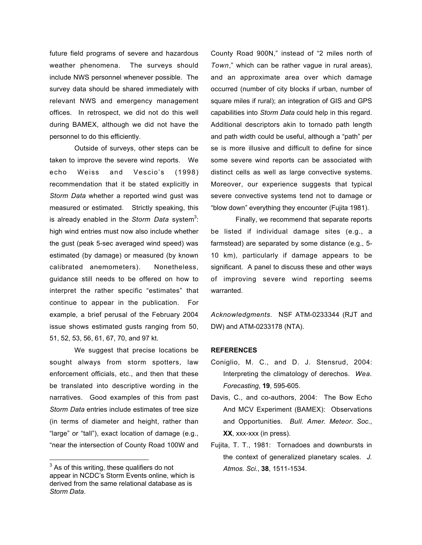future field programs of severe and hazardous weather phenomena. The surveys should include NWS personnel whenever possible. The survey data should be shared immediately with relevant NWS and emergency management offices. In retrospect, we did not do this well during BAMEX, although we did not have the personnel to do this efficiently.

Outside of surveys, other steps can be taken to improve the severe wind reports. We echo Weiss and Vescio's (1998) recommendation that it be stated explicitly in *Storm Data* whether a reported wind gust was measured or estimated. Strictly speaking, this is already enabled in the *Storm Data* system<sup>3</sup>: high wind entries must now also include whether the gust (peak 5-sec averaged wind speed) was estimated (by damage) or measured (by known calibrated anemometers). Nonetheless, guidance still needs to be offered on how to interpret the rather specific "estimates" that continue to appear in the publication. For example, a brief perusal of the February 2004 issue shows estimated gusts ranging from 50, 51, 52, 53, 56, 61, 67, 70, and 97 kt.

We suggest that precise locations be sought always from storm spotters, law enforcement officials, etc., and then that these be translated into descriptive wording in the narratives. Good examples of this from past *Storm Data* entries include estimates of tree size (in terms of diameter and height, rather than "large" or "tall"), exact location of damage (e.g., "near the intersection of County Road 100W and

County Road 900N," instead of "2 miles north of *Town*," which can be rather vague in rural areas), and an approximate area over which damage occurred (number of city blocks if urban, number of square miles if rural); an integration of GIS and GPS capabilities into *Storm Data* could help in this regard. Additional descriptors akin to tornado path length and path width could be useful, although a "path" per se is more illusive and difficult to define for since some severe wind reports can be associated with distinct cells as well as large convective systems. Moreover, our experience suggests that typical severe convective systems tend not to damage or "blow down" everything they encounter (Fujita 1981).

Finally, we recommend that separate reports be listed if individual damage sites (e.g., a farmstead) are separated by some distance (e.g., 5- 10 km), particularly if damage appears to be significant. A panel to discuss these and other ways of improving severe wind reporting seems warranted.

*Acknowledgments.* NSF ATM-0233344 (RJT and DW) and ATM-0233178 (NTA).

## **REFERENCES**

- Coniglio, M. C., and D. J. Stensrud, 2004: Interpreting the climatology of derechos. *Wea. Forecasting*, **19**, 595-605.
- Davis, C., and co-authors, 2004: The Bow Echo And MCV Experiment (BAMEX): Observations and Opportunities. *Bull. Amer. Meteor. Soc.*, **XX**, xxx-xxx (in press).
- Fujita, T. T., 1981: Tornadoes and downbursts in the context of generalized planetary scales. *J. Atmos. Sci.*, **38**, 1511-1534.

3 As of this writing, these qualifiers do not appear in NCDC's Storm Events online, which is derived from the same relational database as is *Storm Data*.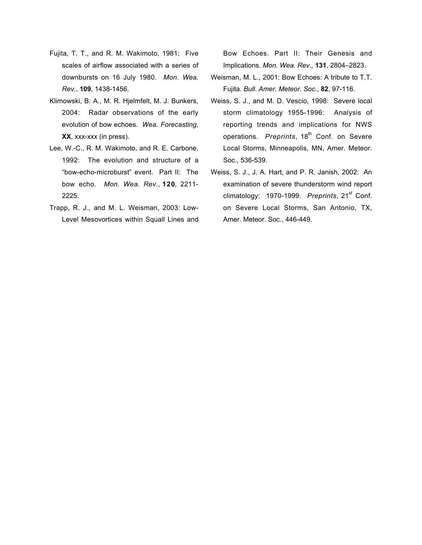- Fujita, T. T., and R. M. Wakimoto, 1981: Five scales of airflow associated with a series of downbursts on 16 July 1980. *Mon. Wea. Rev.*, **109**, 1438-1456.
- Klimowski, B. A., M. R. Hjelmfelt, M. J. Bunkers, 2004: Radar observations of the early evolution of bow echoes. *Wea. Forecasting*, **XX**, xxx-xxx (in press).
- Lee, W.-C., R. M. Wakimoto, and R. E. Carbone, 1992: The evolution and structure of a "bow-echo-microburst" event. Part II: The bow echo. *Mon. Wea. Rev.*, **120**, 2211- 2225.
- Trapp, R. J., and M. L. Weisman, 2003: Low-Level Mesovortices within Squall Lines and

Bow Echoes. Part II: Their Genesis and Implications. *Mon. Wea. Rev.,* **131**, 2804–2823.

- Weisman, M. L., 2001: Bow Echoes: A tribute to T.T. Fujita. *Bull. Amer. Meteor. Soc.*, **82**, 97-116.
- Weiss, S. J., and M. D. Vescio, 1998: Severe local storm climatology 1955-1996: Analysis of reporting trends and implications for NWS operations. *Preprints*, 18<sup>th</sup> Conf. on Severe Local Storms, Minneapolis, MN, Amer. Meteor. Soc., 536-539.
- Weiss, S. J., J. A. Hart, and P. R. Janish, 2002: An examination of severe thunderstorm wind report climatology: 1970-1999. Preprints, 21<sup>st</sup> Conf. on Severe Local Storms, San Antonio, TX, Amer. Meteor. Soc., 446-449.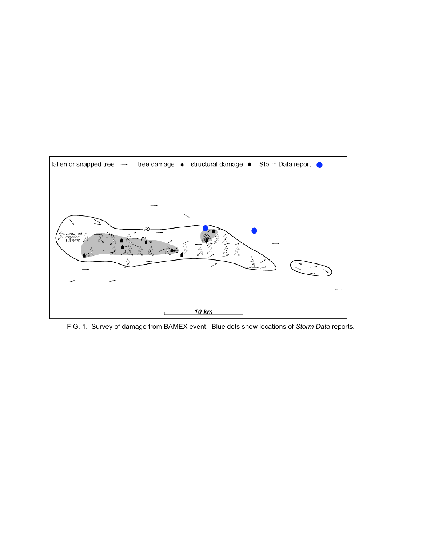

FIG. 1. Survey of damage from BAMEX event. Blue dots show locations of *Storm Data* reports.